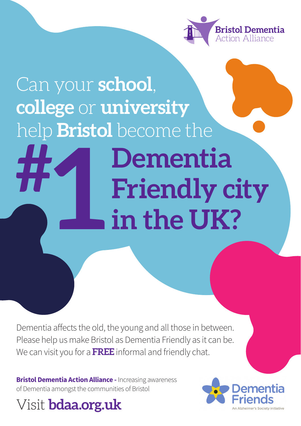

## Can your **school**, **college** or **university** help **Bristol** become the **#**

**Dementia Friendly city in the UK? 1 h**<br>in

Dementia affects the old, the young and all those in between. Please help us make Bristol as Dementia Friendly as it can be. We can visit you for a **FREE** informal and friendly chat.

**Bristol Dementia Action Alliance - Increasing awareness** of Dementia amongst the communities of Bristol